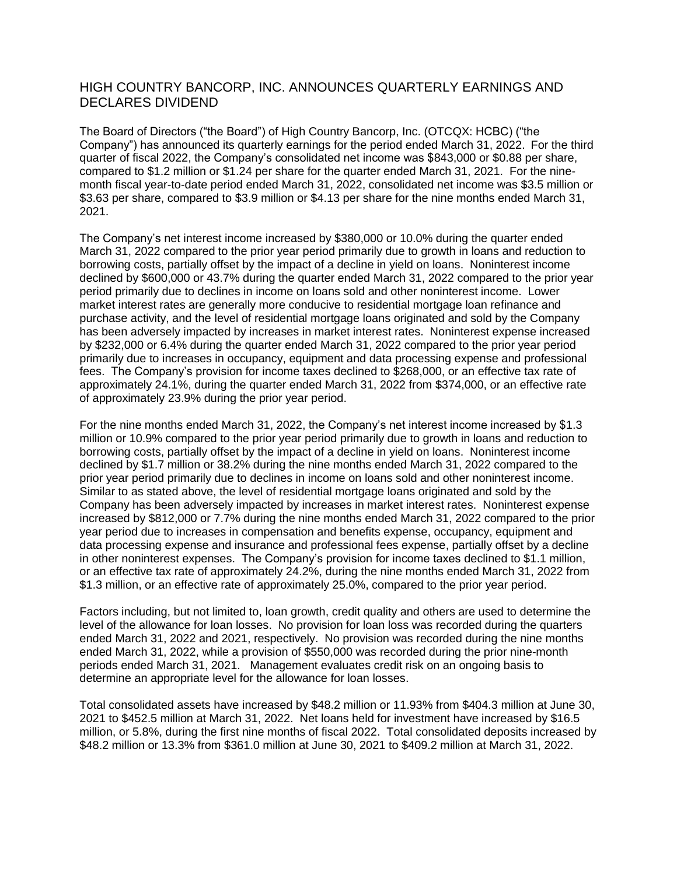## HIGH COUNTRY BANCORP, INC. ANNOUNCES QUARTERLY EARNINGS AND DECLARES DIVIDEND

The Board of Directors ("the Board") of High Country Bancorp, Inc. (OTCQX: HCBC) ("the Company") has announced its quarterly earnings for the period ended March 31, 2022. For the third quarter of fiscal 2022, the Company's consolidated net income was \$843,000 or \$0.88 per share, compared to \$1.2 million or \$1.24 per share for the quarter ended March 31, 2021. For the ninemonth fiscal year-to-date period ended March 31, 2022, consolidated net income was \$3.5 million or \$3.63 per share, compared to \$3.9 million or \$4.13 per share for the nine months ended March 31, 2021.

The Company's net interest income increased by \$380,000 or 10.0% during the quarter ended March 31, 2022 compared to the prior year period primarily due to growth in loans and reduction to borrowing costs, partially offset by the impact of a decline in yield on loans. Noninterest income declined by \$600,000 or 43.7% during the quarter ended March 31, 2022 compared to the prior year period primarily due to declines in income on loans sold and other noninterest income. Lower market interest rates are generally more conducive to residential mortgage loan refinance and purchase activity, and the level of residential mortgage loans originated and sold by the Company has been adversely impacted by increases in market interest rates. Noninterest expense increased by \$232,000 or 6.4% during the quarter ended March 31, 2022 compared to the prior year period primarily due to increases in occupancy, equipment and data processing expense and professional fees. The Company's provision for income taxes declined to \$268,000, or an effective tax rate of approximately 24.1%, during the quarter ended March 31, 2022 from \$374,000, or an effective rate of approximately 23.9% during the prior year period.

For the nine months ended March 31, 2022, the Company's net interest income increased by \$1.3 million or 10.9% compared to the prior year period primarily due to growth in loans and reduction to borrowing costs, partially offset by the impact of a decline in yield on loans. Noninterest income declined by \$1.7 million or 38.2% during the nine months ended March 31, 2022 compared to the prior year period primarily due to declines in income on loans sold and other noninterest income. Similar to as stated above, the level of residential mortgage loans originated and sold by the Company has been adversely impacted by increases in market interest rates. Noninterest expense increased by \$812,000 or 7.7% during the nine months ended March 31, 2022 compared to the prior year period due to increases in compensation and benefits expense, occupancy, equipment and data processing expense and insurance and professional fees expense, partially offset by a decline in other noninterest expenses. The Company's provision for income taxes declined to \$1.1 million, or an effective tax rate of approximately 24.2%, during the nine months ended March 31, 2022 from \$1.3 million, or an effective rate of approximately 25.0%, compared to the prior year period.

Factors including, but not limited to, loan growth, credit quality and others are used to determine the level of the allowance for loan losses. No provision for loan loss was recorded during the quarters ended March 31, 2022 and 2021, respectively. No provision was recorded during the nine months ended March 31, 2022, while a provision of \$550,000 was recorded during the prior nine-month periods ended March 31, 2021. Management evaluates credit risk on an ongoing basis to determine an appropriate level for the allowance for loan losses.

Total consolidated assets have increased by \$48.2 million or 11.93% from \$404.3 million at June 30, 2021 to \$452.5 million at March 31, 2022. Net loans held for investment have increased by \$16.5 million, or 5.8%, during the first nine months of fiscal 2022. Total consolidated deposits increased by \$48.2 million or 13.3% from \$361.0 million at June 30, 2021 to \$409.2 million at March 31, 2022.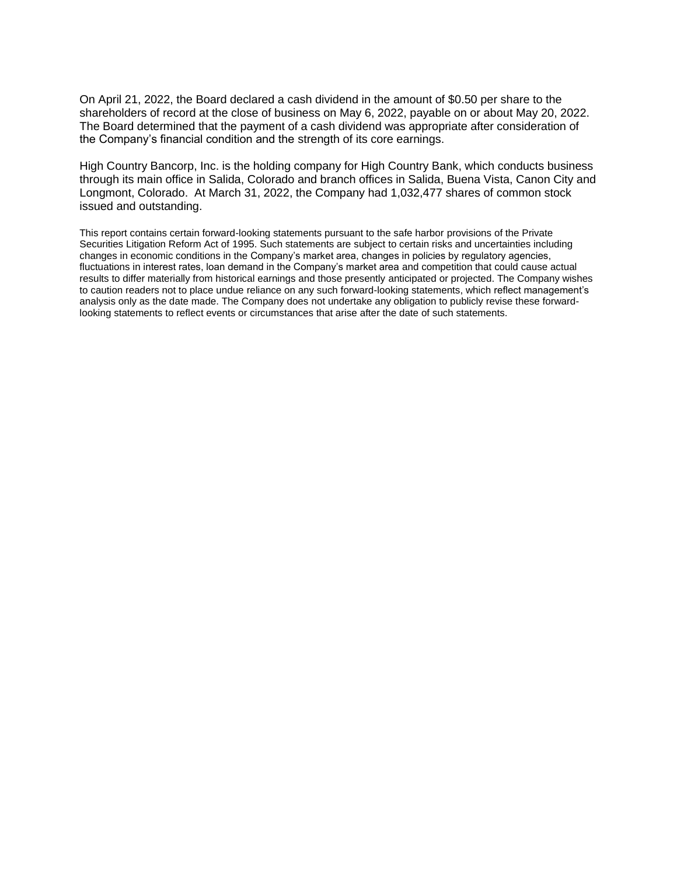On April 21, 2022, the Board declared a cash dividend in the amount of \$0.50 per share to the shareholders of record at the close of business on May 6, 2022, payable on or about May 20, 2022. The Board determined that the payment of a cash dividend was appropriate after consideration of the Company's financial condition and the strength of its core earnings.

High Country Bancorp, Inc. is the holding company for High Country Bank, which conducts business through its main office in Salida, Colorado and branch offices in Salida, Buena Vista, Canon City and Longmont, Colorado. At March 31, 2022, the Company had 1,032,477 shares of common stock issued and outstanding.

This report contains certain forward-looking statements pursuant to the safe harbor provisions of the Private Securities Litigation Reform Act of 1995. Such statements are subject to certain risks and uncertainties including changes in economic conditions in the Company's market area, changes in policies by regulatory agencies, fluctuations in interest rates, loan demand in the Company's market area and competition that could cause actual results to differ materially from historical earnings and those presently anticipated or projected. The Company wishes to caution readers not to place undue reliance on any such forward-looking statements, which reflect management's analysis only as the date made. The Company does not undertake any obligation to publicly revise these forwardlooking statements to reflect events or circumstances that arise after the date of such statements.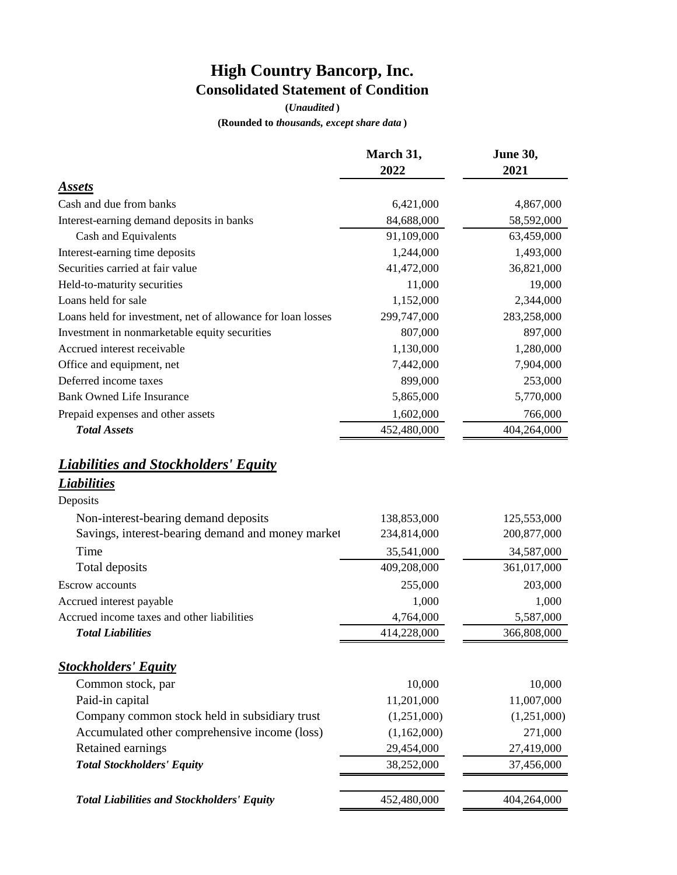## **High Country Bancorp, Inc. Consolidated Statement of Condition**

**(***Unaudited* **)**

**(Rounded to** *thousands, except share data* **)**

|                                                                               | March 31,<br>2022 | June 30,<br>2021         |  |  |
|-------------------------------------------------------------------------------|-------------------|--------------------------|--|--|
| Assets                                                                        |                   |                          |  |  |
| Cash and due from banks                                                       | 6,421,000         | 4,867,000                |  |  |
| Interest-earning demand deposits in banks                                     | 84,688,000        | 58,592,000               |  |  |
| Cash and Equivalents                                                          | 91,109,000        | 63,459,000               |  |  |
| Interest-earning time deposits                                                | 1,244,000         | 1,493,000                |  |  |
| Securities carried at fair value                                              | 41,472,000        | 36,821,000               |  |  |
| Held-to-maturity securities                                                   | 11,000            | 19,000                   |  |  |
| Loans held for sale                                                           | 1,152,000         | 2,344,000                |  |  |
| Loans held for investment, net of allowance for loan losses                   | 299,747,000       | 283,258,000              |  |  |
| Investment in nonmarketable equity securities                                 | 807,000           | 897,000                  |  |  |
| Accrued interest receivable                                                   | 1,130,000         | 1,280,000                |  |  |
| Office and equipment, net                                                     | 7,442,000         | 7,904,000                |  |  |
| Deferred income taxes                                                         | 899,000           | 253,000                  |  |  |
| <b>Bank Owned Life Insurance</b>                                              | 5,865,000         | 5,770,000                |  |  |
| Prepaid expenses and other assets                                             | 1,602,000         | 766,000                  |  |  |
| <b>Total Assets</b>                                                           | 452,480,000       | 404,264,000              |  |  |
| <b>Liabilities and Stockholders' Equity</b><br><b>Liabilities</b><br>Deposits |                   |                          |  |  |
| Non-interest-bearing demand deposits                                          | 138,853,000       | 125,553,000              |  |  |
| Savings, interest-bearing demand and money market                             | 234,814,000       | 200,877,000              |  |  |
| Time                                                                          | 35,541,000        | 34,587,000               |  |  |
| Total deposits                                                                | 409,208,000       | 361,017,000              |  |  |
|                                                                               |                   |                          |  |  |
| <b>Escrow</b> accounts                                                        | 255,000<br>1,000  | 203,000<br>1,000         |  |  |
| Accrued interest payable<br>Accrued income taxes and other liabilities        | 4,764,000         |                          |  |  |
| <b>Total Liabilities</b>                                                      | 414,228,000       | 5,587,000<br>366,808,000 |  |  |
|                                                                               |                   |                          |  |  |
| <b>Stockholders' Equity</b>                                                   |                   |                          |  |  |
| Common stock, par                                                             | 10,000            | 10,000                   |  |  |
| Paid-in capital                                                               | 11,201,000        | 11,007,000               |  |  |
| Company common stock held in subsidiary trust                                 | (1,251,000)       | (1,251,000)              |  |  |
| Accumulated other comprehensive income (loss)                                 | (1,162,000)       | 271,000                  |  |  |
| Retained earnings                                                             | 29,454,000        | 27,419,000               |  |  |
| <b>Total Stockholders' Equity</b>                                             | 38,252,000        | 37,456,000               |  |  |
| <b>Total Liabilities and Stockholders' Equity</b>                             |                   |                          |  |  |